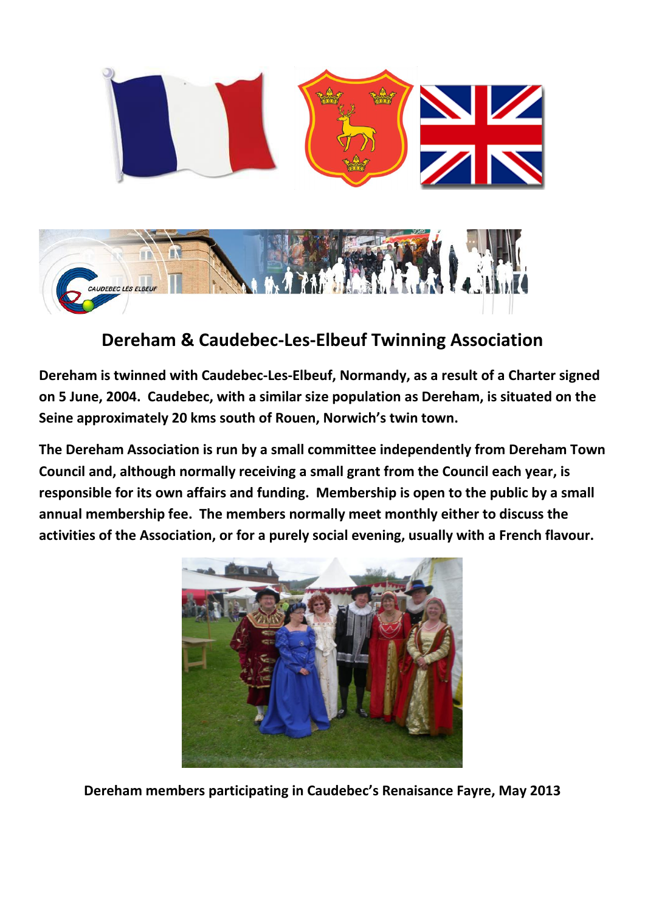

## **Dereham & Caudebec-Les-Elbeuf Twinning Association**

**Dereham is twinned with Caudebec-Les-Elbeuf, Normandy, as a result of a Charter signed on 5 June, 2004. Caudebec, with a similar size population as Dereham, is situated on the Seine approximately 20 kms south of Rouen, Norwich's twin town.**

**The Dereham Association is run by a small committee independently from Dereham Town Council and, although normally receiving a small grant from the Council each year, is responsible for its own affairs and funding. Membership is open to the public by a small annual membership fee. The members normally meet monthly either to discuss the activities of the Association, or for a purely social evening, usually with a French flavour.**



**Dereham members participating in Caudebec's Renaisance Fayre, May 2013**